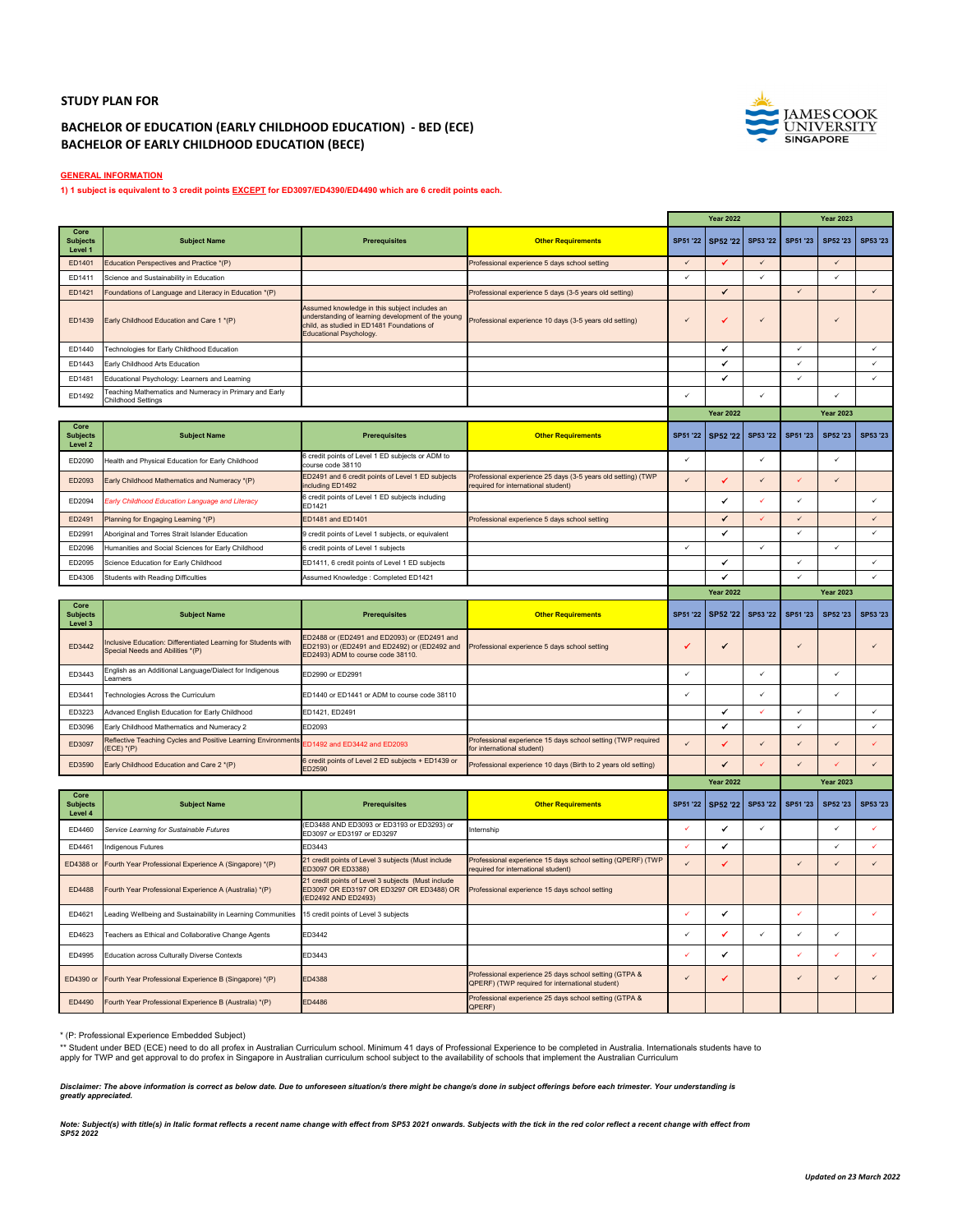## **STUDY PLAN FOR**

## **BACHELOR OF EDUCATION (EARLY CHILDHOOD EDUCATION) ‐ BED (ECE) BACHELOR OF EARLY CHILDHOOD EDUCATION (BECE)**



**GENERAL INFORMATION**

**1) 1 subject is equivalent to 3 credit points EXCEPT for ED3097/ED4390/ED4490 which are 6 credit points each.**

|                                    |                                                                                                   |                                                                                                                                                                              |                                                                                                           | <b>Year 2022</b> |                  | <b>Year 2023</b> |              |                  |              |
|------------------------------------|---------------------------------------------------------------------------------------------------|------------------------------------------------------------------------------------------------------------------------------------------------------------------------------|-----------------------------------------------------------------------------------------------------------|------------------|------------------|------------------|--------------|------------------|--------------|
| Core<br><b>Subjects</b><br>Level 1 | <b>Subject Name</b>                                                                               | <b>Prerequisites</b>                                                                                                                                                         | <b>Other Requirements</b>                                                                                 | SP51 '22         | SP52 '22         | SP53 '22         | SP51 '23     | SP52 '23         | SP53 '23     |
| ED1401                             | Education Perspectives and Practice *(P)                                                          |                                                                                                                                                                              | Professional experience 5 days school setting                                                             | $\checkmark$     | ✔                | $\checkmark$     |              | $\checkmark$     |              |
| ED1411                             | Science and Sustainability in Education                                                           |                                                                                                                                                                              |                                                                                                           | $\checkmark$     |                  | $\checkmark$     |              | V                |              |
| ED1421                             | Foundations of Language and Literacy in Education *(P)                                            |                                                                                                                                                                              | Professional experience 5 days (3-5 years old setting)                                                    |                  | ✔                |                  | $\checkmark$ |                  | $\checkmark$ |
| ED1439                             | Early Childhood Education and Care 1 *(P)                                                         | Assumed knowledge in this subject includes an<br>understanding of learning development of the young<br>child, as studied in ED1481 Foundations of<br>Educational Psychology. | Professional experience 10 days (3-5 years old setting)                                                   | $\checkmark$     | ✔                | $\checkmark$     |              | $\checkmark$     |              |
| ED1440                             | Technologies for Early Childhood Education                                                        |                                                                                                                                                                              |                                                                                                           |                  | ۷                |                  | $\checkmark$ |                  | $\checkmark$ |
| ED1443                             | Early Childhood Arts Education                                                                    |                                                                                                                                                                              |                                                                                                           |                  | ✔                |                  | $\checkmark$ |                  | $\checkmark$ |
| FD1481                             | Educational Psychology: Learners and Learning                                                     |                                                                                                                                                                              |                                                                                                           |                  | ✔                |                  | $\checkmark$ |                  | $\checkmark$ |
| FD1492                             | <b>Feaching Mathematics and Numeracy in Primary and Early</b><br>Childhood Settings               |                                                                                                                                                                              |                                                                                                           | $\checkmark$     |                  | $\checkmark$     |              | J                |              |
|                                    |                                                                                                   |                                                                                                                                                                              |                                                                                                           |                  | <b>Year 2022</b> |                  |              | <b>Year 2023</b> |              |
| Core<br><b>Subjects</b><br>Level 2 | <b>Subject Name</b>                                                                               | <b>Prerequisites</b>                                                                                                                                                         | <b>Other Requirements</b>                                                                                 | SP51 '22         | SP52 '22         | SP53 '22         | SP51 '23     | SP52'23          | SP53 '23     |
| ED2090                             | Health and Physical Education for Early Childhood                                                 | 6 credit points of Level 1 ED subjects or ADM to<br>ourse code 38110                                                                                                         |                                                                                                           | $\checkmark$     |                  | $\checkmark$     |              | ✓                |              |
| ED2093                             | Early Childhood Mathematics and Numeracy *(P)                                                     | ED2491 and 6 credit points of Level 1 ED subjects<br>cluding ED1492                                                                                                          | Professional experience 25 days (3-5 years old setting) (TWP<br>equired for international student)        | $\checkmark$     | ✓                | $\checkmark$     | ✓            | $\checkmark$     |              |
| ED2094                             | Farly Childhood Education Language and Literacy                                                   | credit points of Level 1 ED subjects including<br>FD1421                                                                                                                     |                                                                                                           |                  | ✔                |                  | $\checkmark$ |                  | $\checkmark$ |
| ED2491                             | Planning for Engaging Learning *(P)                                                               | <b>ED1481 and ED1401</b>                                                                                                                                                     | Professional experience 5 days school setting                                                             |                  | ✔                |                  | $\checkmark$ |                  | $\checkmark$ |
| ED2991                             | Aboriginal and Torres Strait Islander Education                                                   | 9 credit points of Level 1 subjects, or equivalent                                                                                                                           |                                                                                                           |                  | ✔                |                  | $\checkmark$ |                  | $\checkmark$ |
| ED2096                             | Humanities and Social Sciences for Early Childhood                                                | credit points of Level 1 subjects                                                                                                                                            |                                                                                                           | $\checkmark$     |                  | $\checkmark$     |              | $\checkmark$     |              |
| FD2095                             | Science Education for Early Childhood                                                             | ED1411, 6 credit points of Level 1 ED subjects                                                                                                                               |                                                                                                           |                  | ر                |                  | $\checkmark$ |                  | $\checkmark$ |
| ED4306                             | <b>Students with Reading Difficulties</b>                                                         | Assumed Knowledge : Completed ED1421                                                                                                                                         |                                                                                                           |                  | ر                |                  | $\checkmark$ |                  | $\checkmark$ |
|                                    |                                                                                                   |                                                                                                                                                                              |                                                                                                           |                  | <b>Year 2022</b> |                  |              | <b>Year 2023</b> |              |
| Core<br><b>Subjects</b><br>Level 3 | <b>Subject Name</b>                                                                               | <b>Prerequisites</b>                                                                                                                                                         | <b>Other Requirements</b>                                                                                 | <b>SP51 '22</b>  | SP52 '22         | SP53 '22         | SP51 '23     | SP52 '23         | SP53 '23     |
| ED3442                             | nclusive Education: Differentiated Learning for Students with<br>Special Needs and Abilities *(P) | FD2488 or (ED2491 and ED2093) or (ED2491 and<br>ED2193) or (ED2491 and ED2492) or (ED2492 and<br>ED2493) ADM to course code 38110.                                           | Professional experience 5 days school setting                                                             | ر                | ✔                |                  | $\checkmark$ |                  | $\checkmark$ |
| ED3443                             | English as an Additional Language/Dialect for Indigenous<br>earners                               | ED2990 or ED2991                                                                                                                                                             |                                                                                                           | $\checkmark$     |                  | $\checkmark$     |              | v                |              |
| ED3441                             | Technologies Across the Curriculum                                                                | ED1440 or ED1441 or ADM to course code 38110                                                                                                                                 |                                                                                                           |                  |                  |                  |              |                  |              |
| FD3223                             | Advanced English Education for Early Childhood                                                    | ED1421, ED2491                                                                                                                                                               |                                                                                                           |                  | ✔                |                  | $\checkmark$ |                  | $\checkmark$ |
| FD3096                             | Early Childhood Mathematics and Numeracy 2                                                        | FD2093                                                                                                                                                                       |                                                                                                           |                  | $\checkmark$     |                  | $\checkmark$ |                  | $\checkmark$ |
| ED3097                             | Reflective Teaching Cycles and Positive Learning Environments<br>$ECE$ <sup>*</sup> (P)           | D1492 and ED3442 and ED2093                                                                                                                                                  | Professional experience 15 days school setting (TWP required<br>or international student)                 |                  |                  |                  | $\checkmark$ |                  |              |
| ED3590                             | Early Childhood Education and Care 2 *(P)                                                         | 3 credit points of Level 2 ED subjects + ED1439 or<br>FD2590                                                                                                                 | Professional experience 10 days (Birth to 2 years old setting)                                            |                  | J                |                  | $\checkmark$ |                  | $\checkmark$ |
|                                    |                                                                                                   |                                                                                                                                                                              |                                                                                                           |                  | <b>Year 2022</b> |                  |              | <b>Year 2023</b> |              |
| Core<br><b>Subjects</b><br>Level 4 | <b>Subject Name</b>                                                                               | <b>Prerequisites</b>                                                                                                                                                         | <b>Other Requirements</b>                                                                                 | SP51 '22         | SP52 '22         | SP53 '22         | SP51 '23     | SP52'23          | SP53 '23     |
| ED4460                             | Service Learning for Sustainable Futures                                                          | (ED3488 AND ED3093 or ED3193 or ED3293) or<br>ED3097 or ED3197 or ED3297                                                                                                     | Internship                                                                                                | ✓                | ✔                | $\checkmark$     |              | ✓                | $\checkmark$ |
| ED4461                             | ndigenous Futures                                                                                 | ED3443                                                                                                                                                                       |                                                                                                           | $\checkmark$     | ✔                |                  |              | ✓                | $\checkmark$ |
| ED4388 or                          | Fourth Year Professional Experience A (Singapore) *(P)                                            | 21 credit points of Level 3 subjects (Must include<br>ED3097 OR ED3388)                                                                                                      | Professional experience 15 days school setting (QPERF) (TWP<br>equired for international student)         | $\checkmark$     | ✓                |                  | $\checkmark$ | ✓                | $\checkmark$ |
| ED4488                             | Fourth Year Professional Experience A (Australia) *(P)                                            | 21 credit points of Level 3 subjects (Must include<br>ED3097 OR ED3197 OR ED3297 OR ED3488) OR<br>(ED2492 AND ED2493)                                                        | Professional experience 15 days school setting                                                            |                  |                  |                  |              |                  |              |
| ED4621                             | eading Wellbeing and Sustainability in Learning Communities                                       | 15 credit points of Level 3 subjects                                                                                                                                         |                                                                                                           | $\checkmark$     | ۷                |                  | $\checkmark$ |                  | $\checkmark$ |
| ED4623                             | Teachers as Ethical and Collaborative Change Agents                                               | ED3442                                                                                                                                                                       |                                                                                                           | $\checkmark$     | ✔                | $\checkmark$     | $\checkmark$ | ✓                |              |
| ED4995                             | Education across Culturally Diverse Contexts                                                      | ED3443                                                                                                                                                                       |                                                                                                           | V                | ✓                |                  | ✓            |                  | $\checkmark$ |
| ED4390 or                          | Fourth Year Professional Experience B (Singapore) *(P)                                            | ED4388                                                                                                                                                                       | Professional experience 25 days school setting (GTPA &<br>QPERF) (TWP required for international student) | $\checkmark$     | ✓                |                  | $\checkmark$ | $\checkmark$     |              |
| ED4490                             | Fourth Year Professional Experience B (Australia) *(P)                                            | ED4486                                                                                                                                                                       | Professional experience 25 days school setting (GTPA &<br>OPERF)                                          |                  |                  |                  |              |                  |              |

\* (P: Professional Experience Embedded Subject)

\*\* Student under BED (ECE) need to do all profex in Australian Curriculum school. Minimum 41 days of Professional Experience to be completed in Australia. Internationals students have to<br>apply for TWP and get approval to d

*Disclaimer: The above information is correct as below date. Due to unforeseen situation/s there might be change/s done in subject offerings before each trimester. Your understanding is greatly appreciated.* 

Note: Subject(s) with title(s) in Italic format reflects a recent name change with effect from SP53 2021 onwards. Subjects with the tick in the red color reflect a recent change with effect from<br>SP52 2022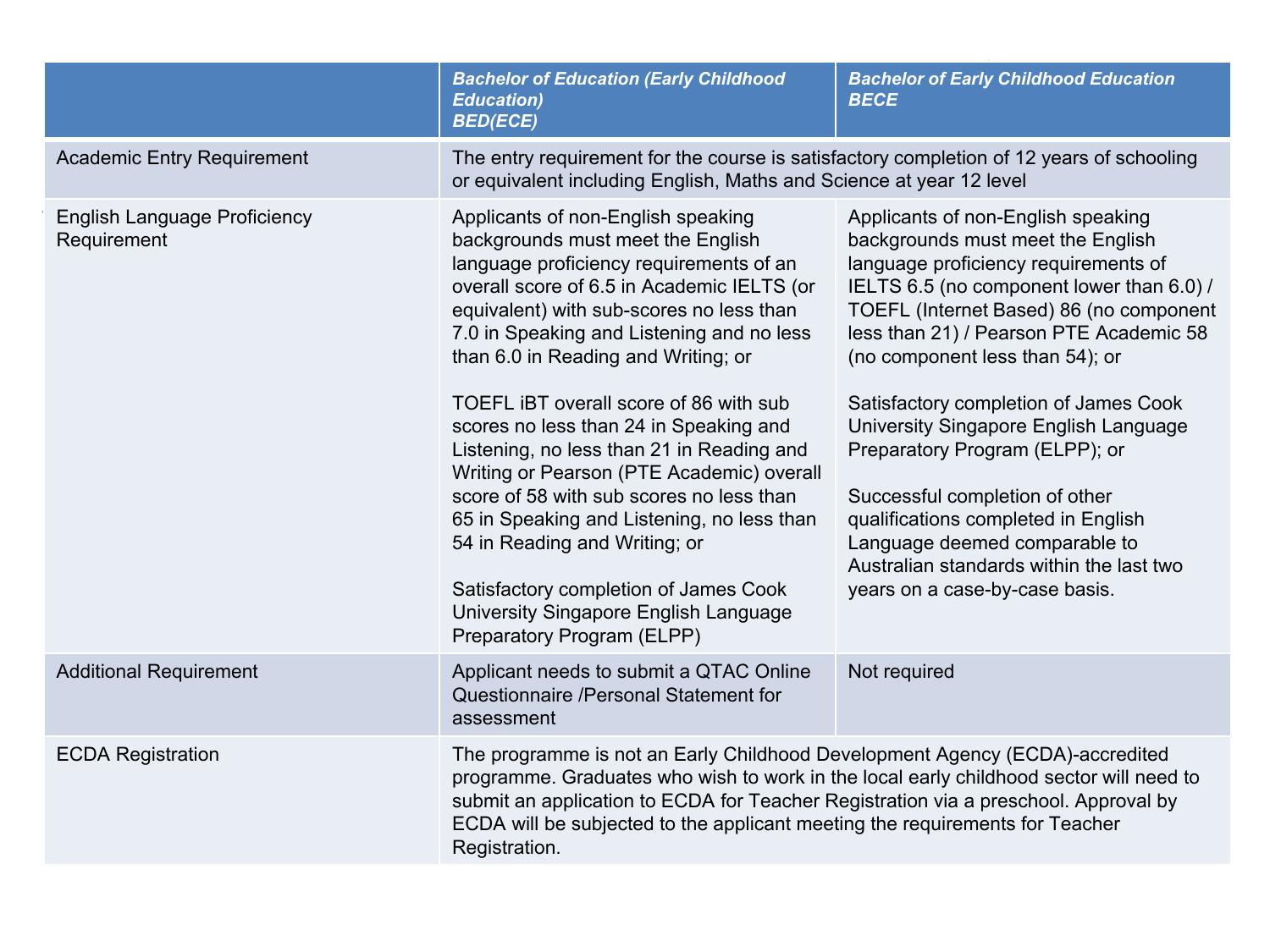|                                                    | <b>Bachelor of Education (Early Childhood</b><br><b>Education)</b><br><b>BED(ECE)</b>                                                                                                                                                                                                                                                                                                                                                                                                                                                                                                                                                                                                                                     | <b>Bachelor of Early Childhood Education</b><br><b>BECE</b>                                                                                                                                                                                                                                                                                                                                                                                                                                                                                                                                       |  |  |
|----------------------------------------------------|---------------------------------------------------------------------------------------------------------------------------------------------------------------------------------------------------------------------------------------------------------------------------------------------------------------------------------------------------------------------------------------------------------------------------------------------------------------------------------------------------------------------------------------------------------------------------------------------------------------------------------------------------------------------------------------------------------------------------|---------------------------------------------------------------------------------------------------------------------------------------------------------------------------------------------------------------------------------------------------------------------------------------------------------------------------------------------------------------------------------------------------------------------------------------------------------------------------------------------------------------------------------------------------------------------------------------------------|--|--|
| <b>Academic Entry Requirement</b>                  | The entry requirement for the course is satisfactory completion of 12 years of schooling<br>or equivalent including English, Maths and Science at year 12 level                                                                                                                                                                                                                                                                                                                                                                                                                                                                                                                                                           |                                                                                                                                                                                                                                                                                                                                                                                                                                                                                                                                                                                                   |  |  |
| <b>English Language Proficiency</b><br>Requirement | Applicants of non-English speaking<br>backgrounds must meet the English<br>language proficiency requirements of an<br>overall score of 6.5 in Academic IELTS (or<br>equivalent) with sub-scores no less than<br>7.0 in Speaking and Listening and no less<br>than 6.0 in Reading and Writing; or<br>TOEFL IBT overall score of 86 with sub<br>scores no less than 24 in Speaking and<br>Listening, no less than 21 in Reading and<br>Writing or Pearson (PTE Academic) overall<br>score of 58 with sub scores no less than<br>65 in Speaking and Listening, no less than<br>54 in Reading and Writing; or<br>Satisfactory completion of James Cook<br>University Singapore English Language<br>Preparatory Program (ELPP) | Applicants of non-English speaking<br>backgrounds must meet the English<br>language proficiency requirements of<br>IELTS 6.5 (no component lower than 6.0) /<br>TOEFL (Internet Based) 86 (no component<br>less than 21) / Pearson PTE Academic 58<br>(no component less than 54); or<br>Satisfactory completion of James Cook<br>University Singapore English Language<br>Preparatory Program (ELPP); or<br>Successful completion of other<br>qualifications completed in English<br>Language deemed comparable to<br>Australian standards within the last two<br>years on a case-by-case basis. |  |  |
| <b>Additional Requirement</b>                      | Applicant needs to submit a QTAC Online<br>Questionnaire /Personal Statement for<br>assessment                                                                                                                                                                                                                                                                                                                                                                                                                                                                                                                                                                                                                            | Not required                                                                                                                                                                                                                                                                                                                                                                                                                                                                                                                                                                                      |  |  |
| <b>ECDA Registration</b>                           | The programme is not an Early Childhood Development Agency (ECDA)-accredited<br>programme. Graduates who wish to work in the local early childhood sector will need to<br>submit an application to ECDA for Teacher Registration via a preschool. Approval by<br>ECDA will be subjected to the applicant meeting the requirements for Teacher<br>Registration.                                                                                                                                                                                                                                                                                                                                                            |                                                                                                                                                                                                                                                                                                                                                                                                                                                                                                                                                                                                   |  |  |